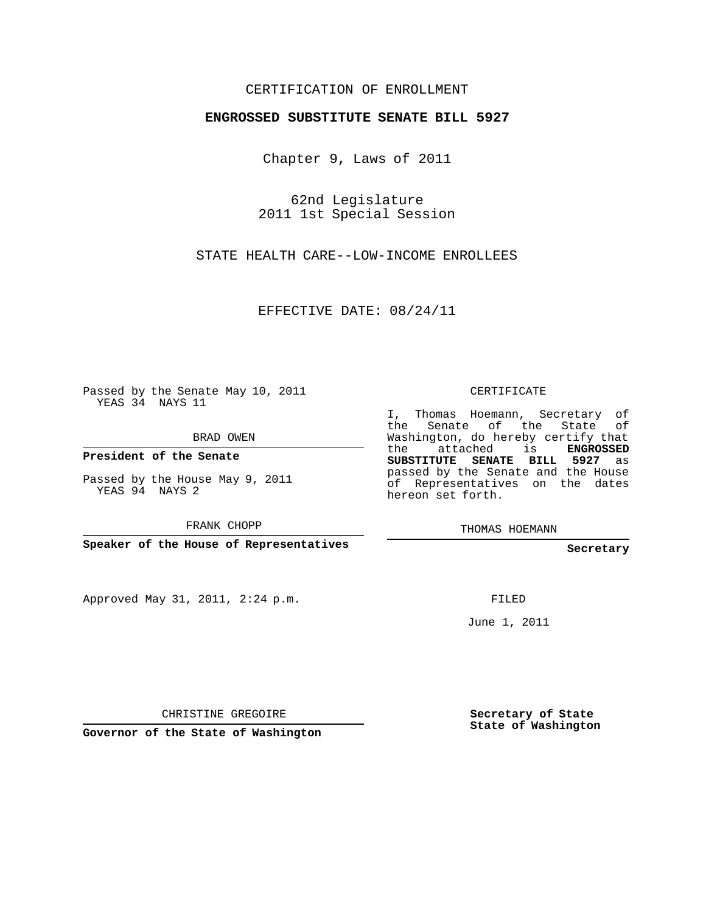## CERTIFICATION OF ENROLLMENT

## **ENGROSSED SUBSTITUTE SENATE BILL 5927**

Chapter 9, Laws of 2011

62nd Legislature 2011 1st Special Session

STATE HEALTH CARE--LOW-INCOME ENROLLEES

EFFECTIVE DATE: 08/24/11

Passed by the Senate May 10, 2011 YEAS 34 NAYS 11

BRAD OWEN

**President of the Senate**

Passed by the House May 9, 2011 YEAS 94 NAYS 2

FRANK CHOPP

**Speaker of the House of Representatives**

Approved May 31, 2011, 2:24 p.m.

CERTIFICATE

I, Thomas Hoemann, Secretary of the Senate of the State of Washington, do hereby certify that the attached is **ENGROSSED SUBSTITUTE SENATE BILL 5927** as passed by the Senate and the House of Representatives on the dates hereon set forth.

THOMAS HOEMANN

**Secretary**

FILED

June 1, 2011

CHRISTINE GREGOIRE

**Governor of the State of Washington**

**Secretary of State State of Washington**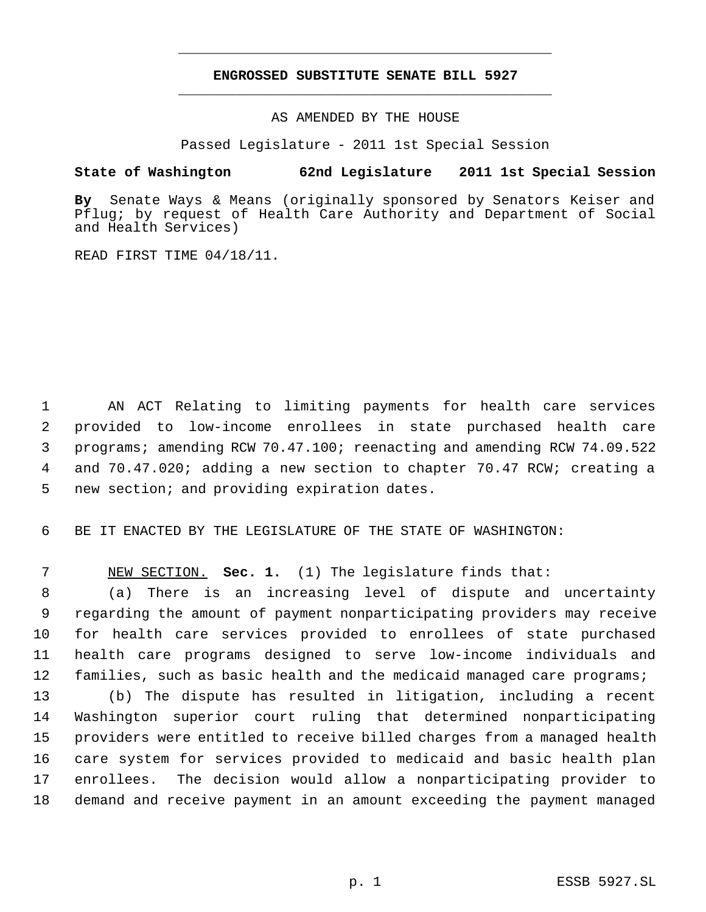## **ENGROSSED SUBSTITUTE SENATE BILL 5927** \_\_\_\_\_\_\_\_\_\_\_\_\_\_\_\_\_\_\_\_\_\_\_\_\_\_\_\_\_\_\_\_\_\_\_\_\_\_\_\_\_\_\_\_\_

\_\_\_\_\_\_\_\_\_\_\_\_\_\_\_\_\_\_\_\_\_\_\_\_\_\_\_\_\_\_\_\_\_\_\_\_\_\_\_\_\_\_\_\_\_

AS AMENDED BY THE HOUSE

Passed Legislature - 2011 1st Special Session

**State of Washington 62nd Legislature 2011 1st Special Session**

**By** Senate Ways & Means (originally sponsored by Senators Keiser and Pflug; by request of Health Care Authority and Department of Social and Health Services)

READ FIRST TIME 04/18/11.

 AN ACT Relating to limiting payments for health care services provided to low-income enrollees in state purchased health care programs; amending RCW 70.47.100; reenacting and amending RCW 74.09.522 and 70.47.020; adding a new section to chapter 70.47 RCW; creating a new section; and providing expiration dates.

BE IT ENACTED BY THE LEGISLATURE OF THE STATE OF WASHINGTON:

NEW SECTION. **Sec. 1.** (1) The legislature finds that:

 (a) There is an increasing level of dispute and uncertainty regarding the amount of payment nonparticipating providers may receive for health care services provided to enrollees of state purchased health care programs designed to serve low-income individuals and families, such as basic health and the medicaid managed care programs;

 (b) The dispute has resulted in litigation, including a recent Washington superior court ruling that determined nonparticipating providers were entitled to receive billed charges from a managed health care system for services provided to medicaid and basic health plan enrollees. The decision would allow a nonparticipating provider to demand and receive payment in an amount exceeding the payment managed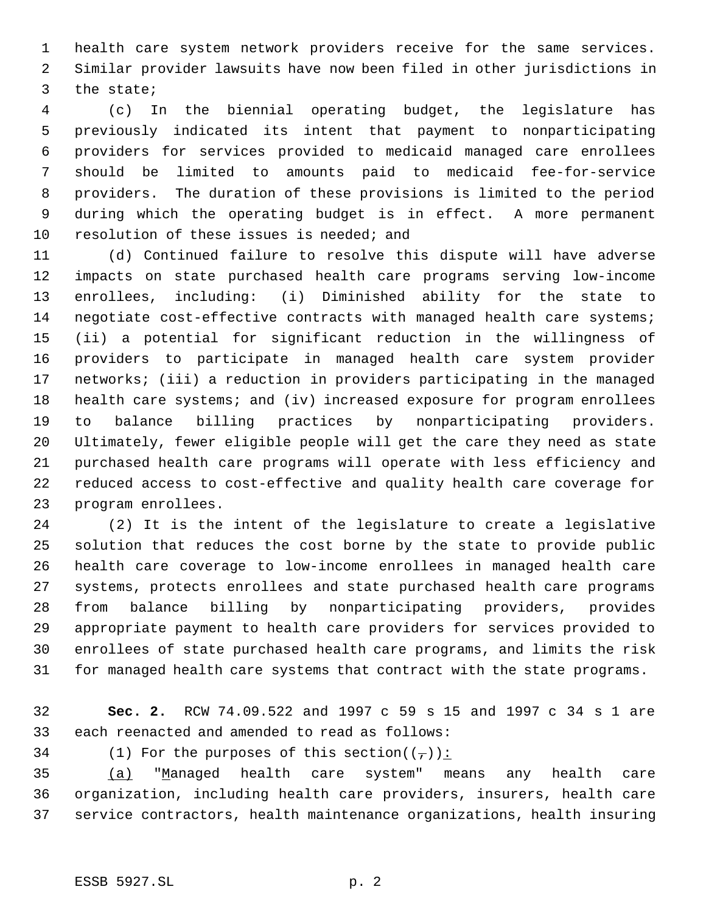health care system network providers receive for the same services. Similar provider lawsuits have now been filed in other jurisdictions in the state;

 (c) In the biennial operating budget, the legislature has previously indicated its intent that payment to nonparticipating providers for services provided to medicaid managed care enrollees should be limited to amounts paid to medicaid fee-for-service providers. The duration of these provisions is limited to the period during which the operating budget is in effect. A more permanent 10 resolution of these issues is needed; and

 (d) Continued failure to resolve this dispute will have adverse impacts on state purchased health care programs serving low-income enrollees, including: (i) Diminished ability for the state to negotiate cost-effective contracts with managed health care systems; (ii) a potential for significant reduction in the willingness of providers to participate in managed health care system provider networks; (iii) a reduction in providers participating in the managed 18 health care systems; and (iv) increased exposure for program enrollees to balance billing practices by nonparticipating providers. Ultimately, fewer eligible people will get the care they need as state purchased health care programs will operate with less efficiency and reduced access to cost-effective and quality health care coverage for program enrollees.

 (2) It is the intent of the legislature to create a legislative solution that reduces the cost borne by the state to provide public health care coverage to low-income enrollees in managed health care systems, protects enrollees and state purchased health care programs from balance billing by nonparticipating providers, provides appropriate payment to health care providers for services provided to enrollees of state purchased health care programs, and limits the risk for managed health care systems that contract with the state programs.

- **Sec. 2.** RCW 74.09.522 and 1997 c 59 s 15 and 1997 c 34 s 1 are each reenacted and amended to read as follows:
- 

34 (1) For the purposes of this section( $(\frac{\tau}{l})$ ):

 (a) "Managed health care system" means any health care organization, including health care providers, insurers, health care service contractors, health maintenance organizations, health insuring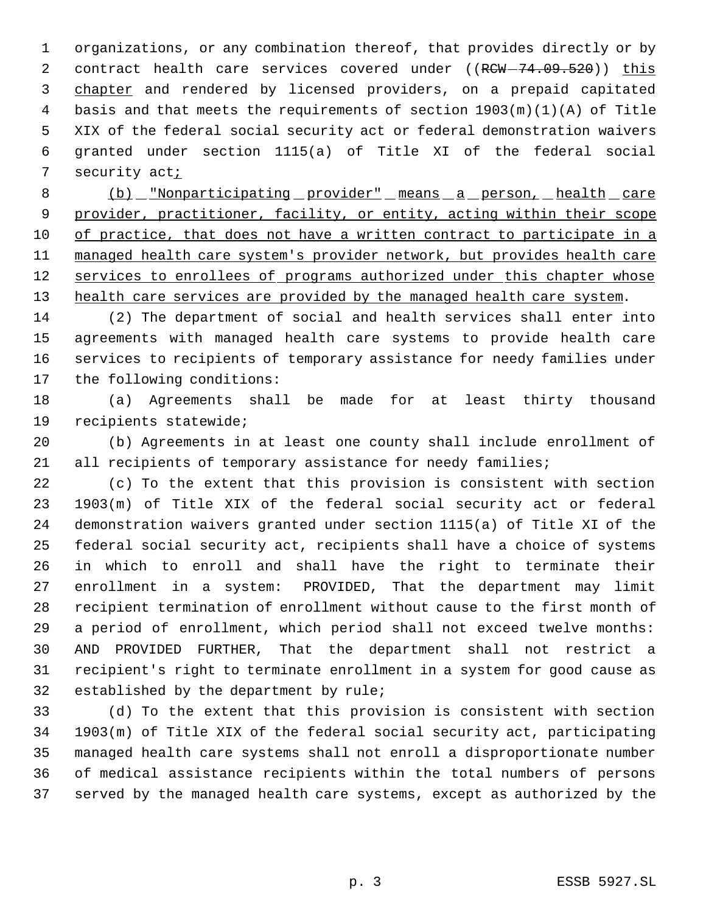organizations, or any combination thereof, that provides directly or by 2 contract health care services covered under ((RCW-74.09.520)) this chapter and rendered by licensed providers, on a prepaid capitated basis and that meets the requirements of section 1903(m)(1)(A) of Title XIX of the federal social security act or federal demonstration waivers granted under section 1115(a) of Title XI of the federal social security act;

 (b) "Nonparticipating provider" means a person, health care provider, practitioner, facility, or entity, acting within their scope of practice, that does not have a written contract to participate in a managed health care system's provider network, but provides health care 12 services to enrollees of programs authorized under this chapter whose 13 health care services are provided by the managed health care system.

 (2) The department of social and health services shall enter into agreements with managed health care systems to provide health care services to recipients of temporary assistance for needy families under the following conditions:

 (a) Agreements shall be made for at least thirty thousand recipients statewide;

 (b) Agreements in at least one county shall include enrollment of 21 all recipients of temporary assistance for needy families;

 (c) To the extent that this provision is consistent with section 1903(m) of Title XIX of the federal social security act or federal demonstration waivers granted under section 1115(a) of Title XI of the federal social security act, recipients shall have a choice of systems in which to enroll and shall have the right to terminate their enrollment in a system: PROVIDED, That the department may limit recipient termination of enrollment without cause to the first month of a period of enrollment, which period shall not exceed twelve months: AND PROVIDED FURTHER, That the department shall not restrict a recipient's right to terminate enrollment in a system for good cause as established by the department by rule;

 (d) To the extent that this provision is consistent with section 1903(m) of Title XIX of the federal social security act, participating managed health care systems shall not enroll a disproportionate number of medical assistance recipients within the total numbers of persons served by the managed health care systems, except as authorized by the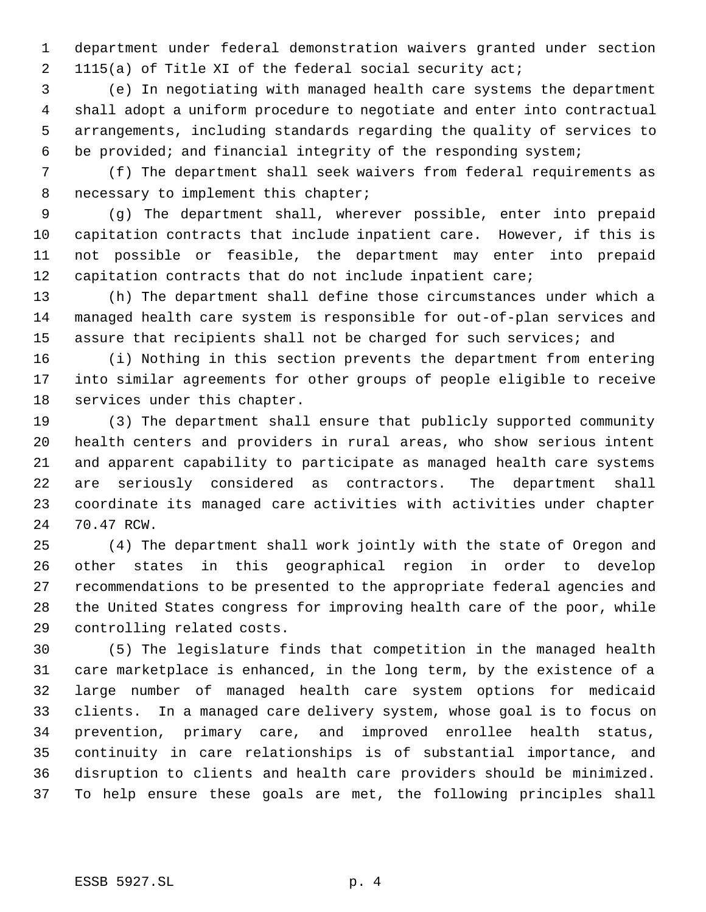department under federal demonstration waivers granted under section 1115(a) of Title XI of the federal social security act;

 (e) In negotiating with managed health care systems the department shall adopt a uniform procedure to negotiate and enter into contractual arrangements, including standards regarding the quality of services to be provided; and financial integrity of the responding system;

 (f) The department shall seek waivers from federal requirements as necessary to implement this chapter;

 (g) The department shall, wherever possible, enter into prepaid capitation contracts that include inpatient care. However, if this is not possible or feasible, the department may enter into prepaid capitation contracts that do not include inpatient care;

 (h) The department shall define those circumstances under which a managed health care system is responsible for out-of-plan services and 15 assure that recipients shall not be charged for such services; and

 (i) Nothing in this section prevents the department from entering into similar agreements for other groups of people eligible to receive services under this chapter.

 (3) The department shall ensure that publicly supported community health centers and providers in rural areas, who show serious intent and apparent capability to participate as managed health care systems are seriously considered as contractors. The department shall coordinate its managed care activities with activities under chapter 70.47 RCW.

 (4) The department shall work jointly with the state of Oregon and other states in this geographical region in order to develop recommendations to be presented to the appropriate federal agencies and the United States congress for improving health care of the poor, while controlling related costs.

 (5) The legislature finds that competition in the managed health care marketplace is enhanced, in the long term, by the existence of a large number of managed health care system options for medicaid clients. In a managed care delivery system, whose goal is to focus on prevention, primary care, and improved enrollee health status, continuity in care relationships is of substantial importance, and disruption to clients and health care providers should be minimized. To help ensure these goals are met, the following principles shall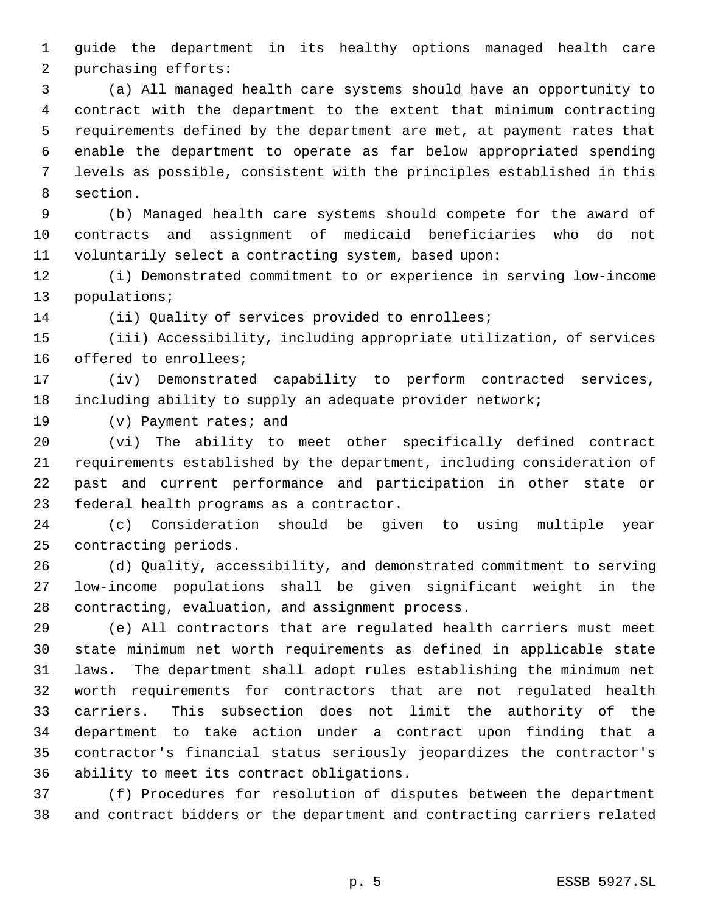guide the department in its healthy options managed health care purchasing efforts:

 (a) All managed health care systems should have an opportunity to contract with the department to the extent that minimum contracting requirements defined by the department are met, at payment rates that enable the department to operate as far below appropriated spending levels as possible, consistent with the principles established in this section.

 (b) Managed health care systems should compete for the award of contracts and assignment of medicaid beneficiaries who do not voluntarily select a contracting system, based upon:

 (i) Demonstrated commitment to or experience in serving low-income populations;

(ii) Quality of services provided to enrollees;

 (iii) Accessibility, including appropriate utilization, of services offered to enrollees;

 (iv) Demonstrated capability to perform contracted services, including ability to supply an adequate provider network;

(v) Payment rates; and

 (vi) The ability to meet other specifically defined contract requirements established by the department, including consideration of past and current performance and participation in other state or federal health programs as a contractor.

 (c) Consideration should be given to using multiple year contracting periods.

 (d) Quality, accessibility, and demonstrated commitment to serving low-income populations shall be given significant weight in the contracting, evaluation, and assignment process.

 (e) All contractors that are regulated health carriers must meet state minimum net worth requirements as defined in applicable state laws. The department shall adopt rules establishing the minimum net worth requirements for contractors that are not regulated health carriers. This subsection does not limit the authority of the department to take action under a contract upon finding that a contractor's financial status seriously jeopardizes the contractor's ability to meet its contract obligations.

 (f) Procedures for resolution of disputes between the department and contract bidders or the department and contracting carriers related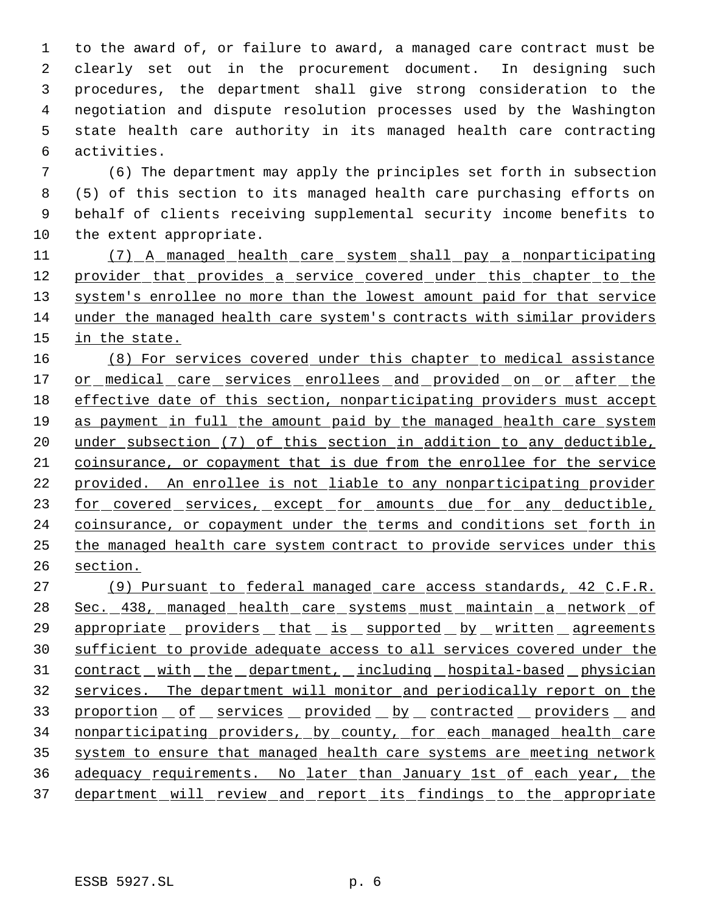to the award of, or failure to award, a managed care contract must be clearly set out in the procurement document. In designing such procedures, the department shall give strong consideration to the negotiation and dispute resolution processes used by the Washington state health care authority in its managed health care contracting activities.

 (6) The department may apply the principles set forth in subsection (5) of this section to its managed health care purchasing efforts on behalf of clients receiving supplemental security income benefits to the extent appropriate.

 (7) A managed health care system shall pay a nonparticipating 12 provider that provides a service covered under this chapter to the 13 system's enrollee no more than the lowest amount paid for that service under the managed health care system's contracts with similar providers 15 in the state.

 (8) For services covered under this chapter to medical assistance 17 or medical care services enrollees and provided on or after the effective date of this section, nonparticipating providers must accept as payment in full the amount paid by the managed health care system under subsection (7) of this section in addition to any deductible, coinsurance, or copayment that is due from the enrollee for the service provided. An enrollee is not liable to any nonparticipating provider 23 for covered services, except for amounts due for any deductible, 24 coinsurance, or copayment under the terms and conditions set forth in the managed health care system contract to provide services under this section.

 (9) Pursuant to federal managed care access standards, 42 C.F.R. Sec. 438, managed health care systems must maintain a network of 29 appropriate providers that is supported by written agreements sufficient to provide adequate access to all services covered under the 31 contract with the department, including hospital-based physician services. The department will monitor and periodically report on the 33 proportion of services provided by contracted providers and nonparticipating providers, by county, for each managed health care system to ensure that managed health care systems are meeting network adequacy requirements. No later than January 1st of each year, the 37 department will review and report its findings to the appropriate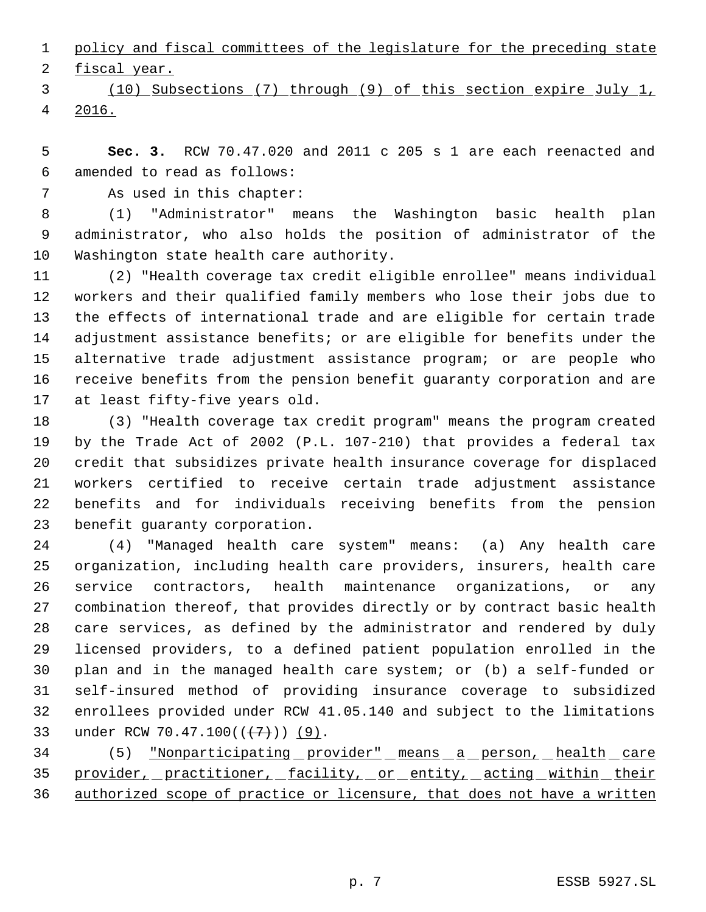policy and fiscal committees of the legislature for the preceding state

2 fiscal year.

 (10) Subsections (7) through (9) of this section expire July 1, 2016.

 **Sec. 3.** RCW 70.47.020 and 2011 c 205 s 1 are each reenacted and amended to read as follows:

As used in this chapter:

 (1) "Administrator" means the Washington basic health plan administrator, who also holds the position of administrator of the Washington state health care authority.

 (2) "Health coverage tax credit eligible enrollee" means individual workers and their qualified family members who lose their jobs due to the effects of international trade and are eligible for certain trade adjustment assistance benefits; or are eligible for benefits under the alternative trade adjustment assistance program; or are people who receive benefits from the pension benefit guaranty corporation and are at least fifty-five years old.

 (3) "Health coverage tax credit program" means the program created by the Trade Act of 2002 (P.L. 107-210) that provides a federal tax credit that subsidizes private health insurance coverage for displaced workers certified to receive certain trade adjustment assistance benefits and for individuals receiving benefits from the pension benefit guaranty corporation.

 (4) "Managed health care system" means: (a) Any health care organization, including health care providers, insurers, health care service contractors, health maintenance organizations, or any combination thereof, that provides directly or by contract basic health care services, as defined by the administrator and rendered by duly licensed providers, to a defined patient population enrolled in the plan and in the managed health care system; or (b) a self-funded or self-insured method of providing insurance coverage to subsidized enrollees provided under RCW 41.05.140 and subject to the limitations 33 under RCW 70.47.100((+7))) (9).

34 (5) "Nonparticipating provider" means a person, health care 35 provider, practitioner, facility, or entity, acting within their authorized scope of practice or licensure, that does not have a written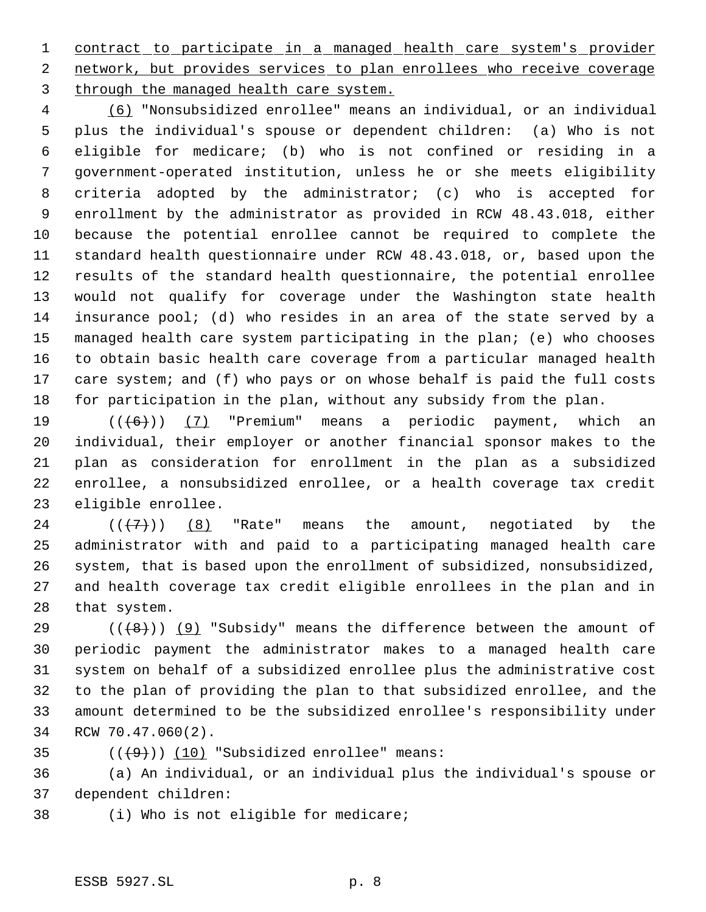1 contract to participate in a managed health care system's provider 2 network, but provides services to plan enrollees who receive coverage 3 through the managed health care system.

 (6) "Nonsubsidized enrollee" means an individual, or an individual plus the individual's spouse or dependent children: (a) Who is not eligible for medicare; (b) who is not confined or residing in a government-operated institution, unless he or she meets eligibility criteria adopted by the administrator; (c) who is accepted for enrollment by the administrator as provided in RCW 48.43.018, either because the potential enrollee cannot be required to complete the standard health questionnaire under RCW 48.43.018, or, based upon the results of the standard health questionnaire, the potential enrollee would not qualify for coverage under the Washington state health insurance pool; (d) who resides in an area of the state served by a managed health care system participating in the plan; (e) who chooses to obtain basic health care coverage from a particular managed health care system; and (f) who pays or on whose behalf is paid the full costs for participation in the plan, without any subsidy from the plan.

 $((+6))$   $(7)$  "Premium" means a periodic payment, which an individual, their employer or another financial sponsor makes to the plan as consideration for enrollment in the plan as a subsidized enrollee, a nonsubsidized enrollee, or a health coverage tax credit eligible enrollee.

 $((+7))$   $(8)$  "Rate" means the amount, negotiated by the administrator with and paid to a participating managed health care system, that is based upon the enrollment of subsidized, nonsubsidized, and health coverage tax credit eligible enrollees in the plan and in that system.

29 ( $(\langle 48 \rangle)$  (9) "Subsidy" means the difference between the amount of periodic payment the administrator makes to a managed health care system on behalf of a subsidized enrollee plus the administrative cost to the plan of providing the plan to that subsidized enrollee, and the amount determined to be the subsidized enrollee's responsibility under RCW 70.47.060(2).

35  $((+9))$   $(10)$  "Subsidized enrollee" means:

 (a) An individual, or an individual plus the individual's spouse or dependent children:

(i) Who is not eligible for medicare;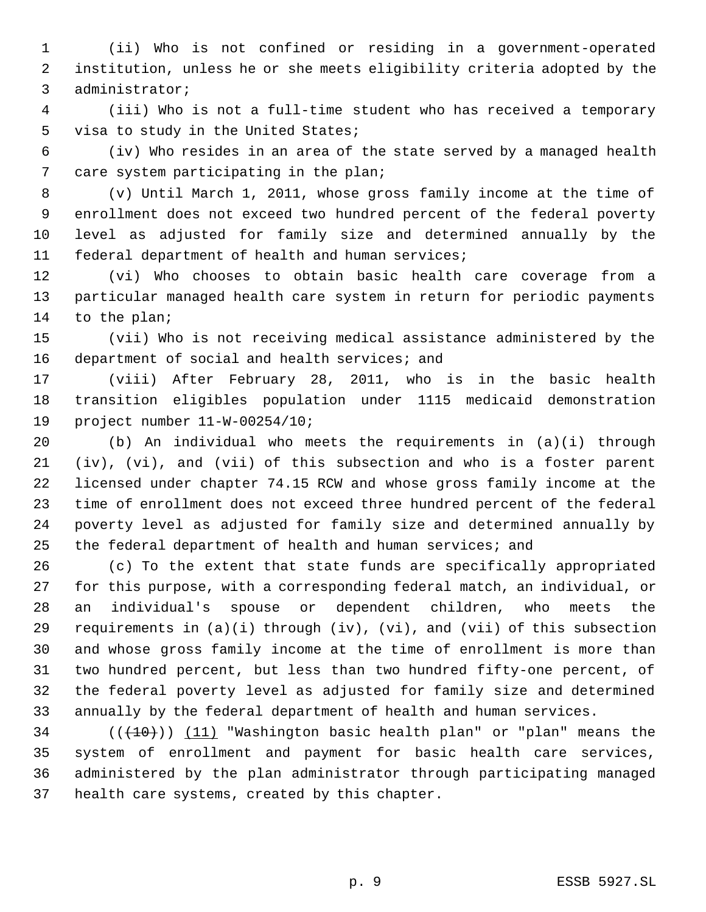(ii) Who is not confined or residing in a government-operated institution, unless he or she meets eligibility criteria adopted by the administrator;

 (iii) Who is not a full-time student who has received a temporary visa to study in the United States;

 (iv) Who resides in an area of the state served by a managed health care system participating in the plan;

 (v) Until March 1, 2011, whose gross family income at the time of enrollment does not exceed two hundred percent of the federal poverty level as adjusted for family size and determined annually by the federal department of health and human services;

 (vi) Who chooses to obtain basic health care coverage from a particular managed health care system in return for periodic payments to the plan;

 (vii) Who is not receiving medical assistance administered by the 16 department of social and health services; and

 (viii) After February 28, 2011, who is in the basic health transition eligibles population under 1115 medicaid demonstration project number 11-W-00254/10;

 (b) An individual who meets the requirements in (a)(i) through (iv), (vi), and (vii) of this subsection and who is a foster parent licensed under chapter 74.15 RCW and whose gross family income at the time of enrollment does not exceed three hundred percent of the federal poverty level as adjusted for family size and determined annually by the federal department of health and human services; and

 (c) To the extent that state funds are specifically appropriated for this purpose, with a corresponding federal match, an individual, or an individual's spouse or dependent children, who meets the requirements in (a)(i) through (iv), (vi), and (vii) of this subsection and whose gross family income at the time of enrollment is more than two hundred percent, but less than two hundred fifty-one percent, of the federal poverty level as adjusted for family size and determined annually by the federal department of health and human services.

 (( $(10)$ )) (11) "Washington basic health plan" or "plan" means the system of enrollment and payment for basic health care services, administered by the plan administrator through participating managed health care systems, created by this chapter.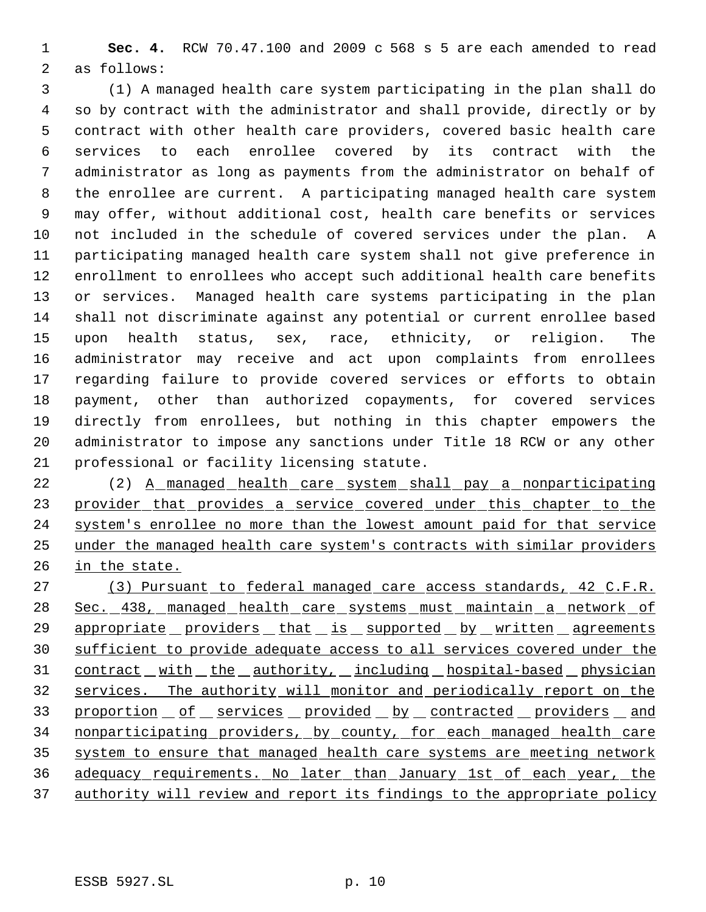**Sec. 4.** RCW 70.47.100 and 2009 c 568 s 5 are each amended to read as follows:

 (1) A managed health care system participating in the plan shall do so by contract with the administrator and shall provide, directly or by contract with other health care providers, covered basic health care services to each enrollee covered by its contract with the administrator as long as payments from the administrator on behalf of the enrollee are current. A participating managed health care system may offer, without additional cost, health care benefits or services not included in the schedule of covered services under the plan. A participating managed health care system shall not give preference in enrollment to enrollees who accept such additional health care benefits or services. Managed health care systems participating in the plan shall not discriminate against any potential or current enrollee based upon health status, sex, race, ethnicity, or religion. The administrator may receive and act upon complaints from enrollees regarding failure to provide covered services or efforts to obtain payment, other than authorized copayments, for covered services directly from enrollees, but nothing in this chapter empowers the administrator to impose any sanctions under Title 18 RCW or any other professional or facility licensing statute.

22 (2) A managed health care system shall pay a nonparticipating 23 provider that provides a service covered under this chapter to the system's enrollee no more than the lowest amount paid for that service under the managed health care system's contracts with similar providers in the state.

 (3) Pursuant to federal managed care access standards, 42 C.F.R. Sec. 438, managed health care systems must maintain a network of 29 appropriate providers that is supported by written agreements sufficient to provide adequate access to all services covered under the 31 contract with the authority, including hospital-based physician services. The authority will monitor and periodically report on the 33 proportion of services provided by contracted providers and nonparticipating providers, by county, for each managed health care system to ensure that managed health care systems are meeting network adequacy requirements. No later than January 1st of each year, the 37 authority will review and report its findings to the appropriate policy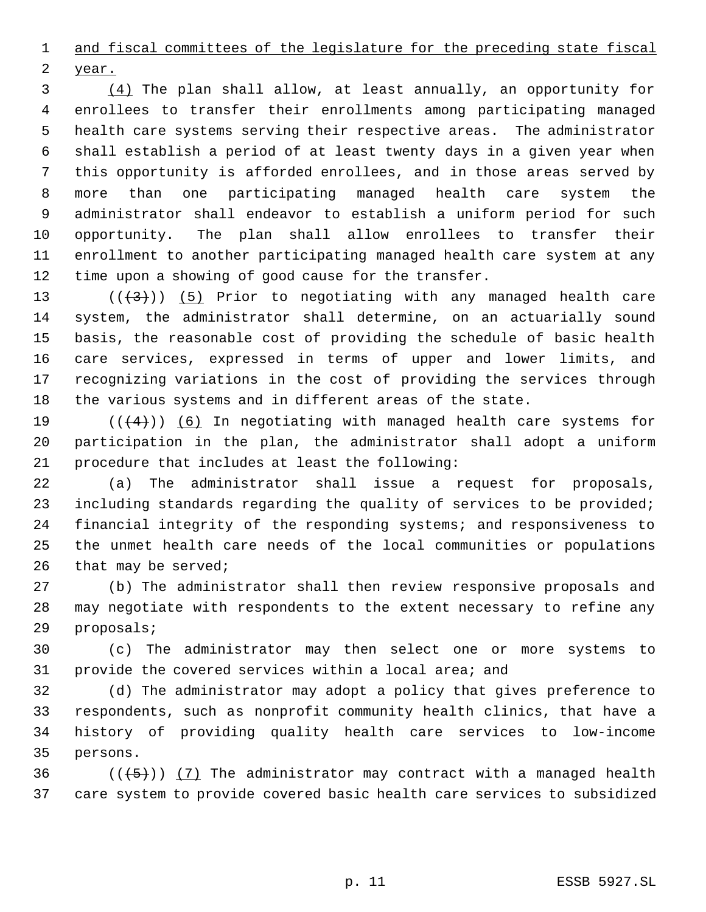and fiscal committees of the legislature for the preceding state fiscal

year.

 (4) The plan shall allow, at least annually, an opportunity for enrollees to transfer their enrollments among participating managed health care systems serving their respective areas. The administrator shall establish a period of at least twenty days in a given year when this opportunity is afforded enrollees, and in those areas served by more than one participating managed health care system the administrator shall endeavor to establish a uniform period for such opportunity. The plan shall allow enrollees to transfer their enrollment to another participating managed health care system at any time upon a showing of good cause for the transfer.

13 ( $(\frac{1}{3})$ ) (5) Prior to negotiating with any managed health care system, the administrator shall determine, on an actuarially sound basis, the reasonable cost of providing the schedule of basic health care services, expressed in terms of upper and lower limits, and recognizing variations in the cost of providing the services through the various systems and in different areas of the state.

19  $((+4))$  (6) In negotiating with managed health care systems for participation in the plan, the administrator shall adopt a uniform procedure that includes at least the following:

 (a) The administrator shall issue a request for proposals, including standards regarding the quality of services to be provided; financial integrity of the responding systems; and responsiveness to the unmet health care needs of the local communities or populations that may be served;

 (b) The administrator shall then review responsive proposals and may negotiate with respondents to the extent necessary to refine any proposals;

 (c) The administrator may then select one or more systems to provide the covered services within a local area; and

 (d) The administrator may adopt a policy that gives preference to respondents, such as nonprofit community health clinics, that have a history of providing quality health care services to low-income persons.

36  $((+5))$   $(7)$  The administrator may contract with a managed health care system to provide covered basic health care services to subsidized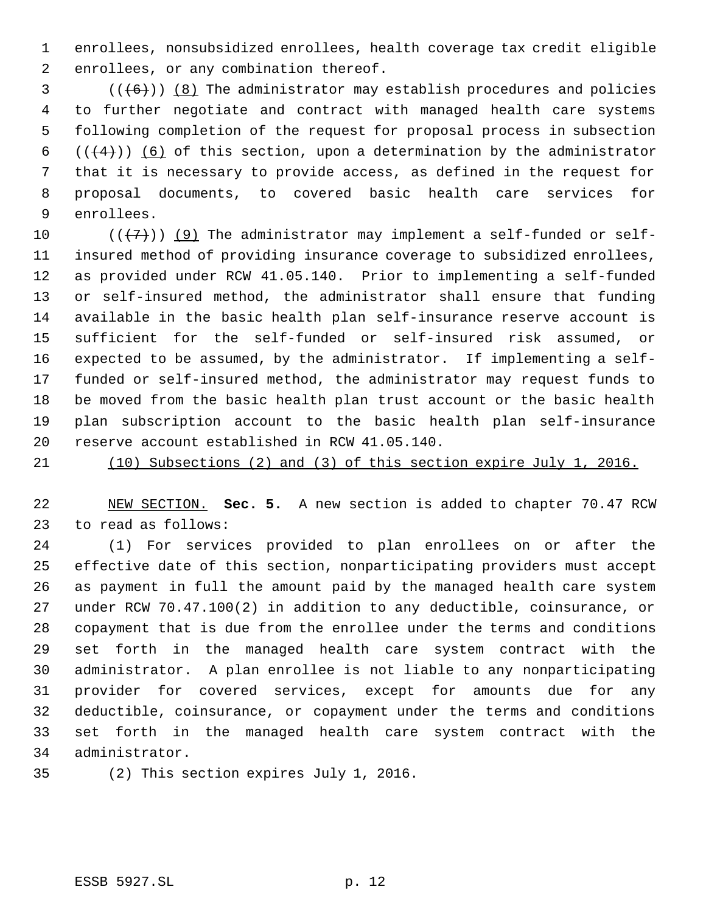enrollees, nonsubsidized enrollees, health coverage tax credit eligible enrollees, or any combination thereof.

 (( $(6)$ )) (8) The administrator may establish procedures and policies to further negotiate and contract with managed health care systems following completion of the request for proposal process in subsection  $((+4))$  (6) of this section, upon a determination by the administrator that it is necessary to provide access, as defined in the request for proposal documents, to covered basic health care services for enrollees.

 $((+7)^{n})$  (9) The administrator may implement a self-funded or self- insured method of providing insurance coverage to subsidized enrollees, as provided under RCW 41.05.140. Prior to implementing a self-funded or self-insured method, the administrator shall ensure that funding available in the basic health plan self-insurance reserve account is sufficient for the self-funded or self-insured risk assumed, or expected to be assumed, by the administrator. If implementing a self- funded or self-insured method, the administrator may request funds to be moved from the basic health plan trust account or the basic health plan subscription account to the basic health plan self-insurance reserve account established in RCW 41.05.140.

(10) Subsections (2) and (3) of this section expire July 1, 2016.

 NEW SECTION. **Sec. 5.** A new section is added to chapter 70.47 RCW to read as follows:

 (1) For services provided to plan enrollees on or after the effective date of this section, nonparticipating providers must accept as payment in full the amount paid by the managed health care system under RCW 70.47.100(2) in addition to any deductible, coinsurance, or copayment that is due from the enrollee under the terms and conditions set forth in the managed health care system contract with the administrator. A plan enrollee is not liable to any nonparticipating provider for covered services, except for amounts due for any deductible, coinsurance, or copayment under the terms and conditions set forth in the managed health care system contract with the administrator.

(2) This section expires July 1, 2016.